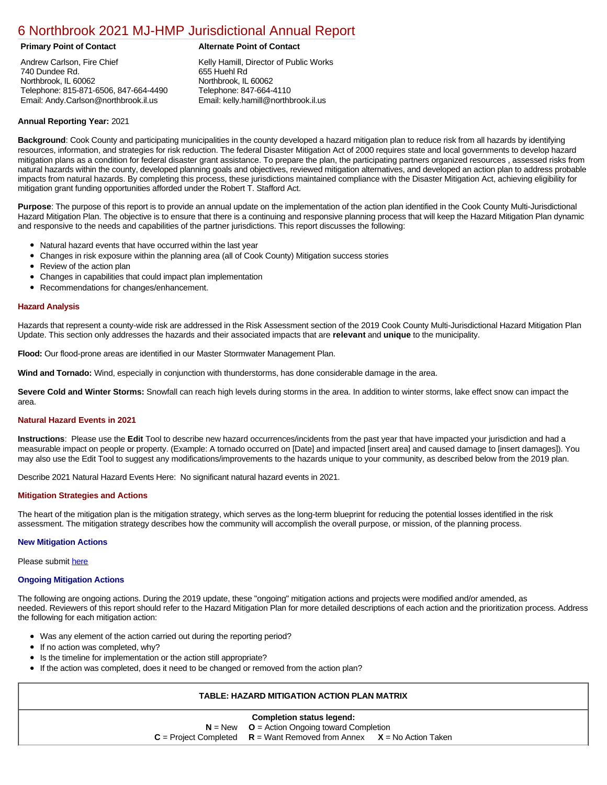## [6 Northbrook 2021 MJ-HMP Jurisdictional Annual Report](https://northbrook.isc-cemp.com/Cemp/Details?id=8322805)

Andrew Carlson, Fire Chief 740 Dundee Rd. Northbrook, IL 60062 Telephone: 815-871-6506, 847-664-4490 Email: Andy.Carlson@northbrook.il.us

### **Primary Point of Contact Alternate Point of Contact**

Kelly Hamill, Director of Public Works 655 Huehl Rd Northbrook, IL 60062 Telephone: 847-664-4110 Email: kelly.hamill@northbrook.il.us

#### **Annual Reporting Year:** 2021

**Background**: Cook County and participating municipalities in the county developed a hazard mitigation plan to reduce risk from all hazards by identifying resources, information, and strategies for risk reduction. The federal Disaster Mitigation Act of 2000 requires state and local governments to develop hazard mitigation plans as a condition for federal disaster grant assistance. To prepare the plan, the participating partners organized resources , assessed risks from natural hazards within the county, developed planning goals and objectives, reviewed mitigation alternatives, and developed an action plan to address probable impacts from natural hazards. By completing this process, these jurisdictions maintained compliance with the Disaster Mitigation Act, achieving eligibility for mitigation grant funding opportunities afforded under the Robert T. Stafford Act.

**Purpose**: The purpose of this report is to provide an annual update on the implementation of the action plan identified in the Cook County Multi-Jurisdictional Hazard Mitigation Plan. The objective is to ensure that there is a continuing and responsive planning process that will keep the Hazard Mitigation Plan dynamic and responsive to the needs and capabilities of the partner jurisdictions. This report discusses the following:

- Natural hazard events that have occurred within the last year
- $\bullet$ Changes in risk exposure within the planning area (all of Cook County) Mitigation success stories
- Review of the action plan  $\bullet$
- $\bullet$ Changes in capabilities that could impact plan implementation
- Recommendations for changes/enhancement.  $\bullet$

#### **Hazard Analysis**

Hazards that represent a county-wide risk are addressed in the Risk Assessment section of the 2019 Cook County Multi-Jurisdictional Hazard Mitigation Plan Update. This section only addresses the hazards and their associated impacts that are **relevant** and **unique** to the municipality.

**Flood:** Our flood-prone areas are identified in our Master Stormwater Management Plan.

**Wind and Tornado:** Wind, especially in conjunction with thunderstorms, has done considerable damage in the area.

**Severe Cold and Winter Storms:** Snowfall can reach high levels during storms in the area. In addition to winter storms, lake effect snow can impact the area.

#### **Natural Hazard Events in 2021**

**Instructions**: Please use the **Edit** Tool to describe new hazard occurrences/incidents from the past year that have impacted your jurisdiction and had a measurable impact on people or property. (Example: A tornado occurred on [Date] and impacted [insert area] and caused damage to [insert damages]). You may also use the Edit Tool to suggest any modifications/improvements to the hazards unique to your community, as described below from the 2019 plan.

Describe 2021 Natural Hazard Events Here: No significant natural hazard events in 2021.

#### **Mitigation Strategies and Actions**

The heart of the mitigation plan is the mitigation strategy, which serves as the long-term blueprint for reducing the potential losses identified in the risk assessment. The mitigation strategy describes how the community will accomplish the overall purpose, or mission, of the planning process.

#### **New Mitigation Actions**

Please submit [here](https://integratedsolutions.wufoo.com/forms/mg21jvf0jn639o/)

#### **Ongoing Mitigation Actions**

The following are ongoing actions. During the 2019 update, these "ongoing" mitigation actions and projects were modified and/or amended, as needed. Reviewers of this report should refer to the Hazard Mitigation Plan for more detailed descriptions of each action and the prioritization process. Address the following for each mitigation action:

- Was any element of the action carried out during the reporting period?
- If no action was completed, why?
- **•** Is the timeline for implementation or the action still appropriate?
- If the action was completed, does it need to be changed or removed from the action plan?

### **TABLE: HAZARD MITIGATION ACTION PLAN MATRIX**

| <b>Completion status legend:</b>                                            |  |
|-----------------------------------------------------------------------------|--|
| $N = New$ $Q =$ Action Ongoing toward Completion                            |  |
| $C =$ Project Completed $R =$ Want Removed from Annex $X =$ No Action Taken |  |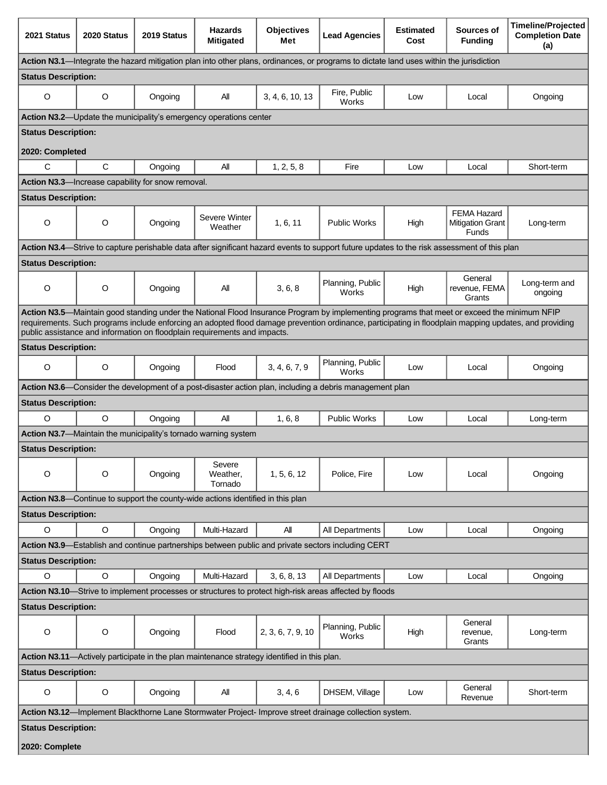| 2021 Status                                                                                 | 2020 Status                                                                     | 2019 Status                                       | <b>Hazards</b><br><b>Mitigated</b>                                        | <b>Objectives</b><br>Met | <b>Lead Agencies</b>                                                                                                                        | <b>Estimated</b><br>Cost | Sources of<br><b>Funding</b>                                  | <b>Timeline/Projected</b><br><b>Completion Date</b><br>(a)                                                                                             |
|---------------------------------------------------------------------------------------------|---------------------------------------------------------------------------------|---------------------------------------------------|---------------------------------------------------------------------------|--------------------------|---------------------------------------------------------------------------------------------------------------------------------------------|--------------------------|---------------------------------------------------------------|--------------------------------------------------------------------------------------------------------------------------------------------------------|
|                                                                                             |                                                                                 |                                                   |                                                                           |                          | Action N3.1—Integrate the hazard mitigation plan into other plans, ordinances, or programs to dictate land uses within the jurisdiction     |                          |                                                               |                                                                                                                                                        |
| <b>Status Description:</b>                                                                  |                                                                                 |                                                   |                                                                           |                          |                                                                                                                                             |                          |                                                               |                                                                                                                                                        |
| O                                                                                           | $\circ$                                                                         | Ongoing                                           | Αll                                                                       | 3, 4, 6, 10, 13          | Fire, Public<br>Works                                                                                                                       | Low                      | Local                                                         | Ongoing                                                                                                                                                |
|                                                                                             |                                                                                 |                                                   | Action N3.2-Update the municipality's emergency operations center         |                          |                                                                                                                                             |                          |                                                               |                                                                                                                                                        |
| <b>Status Description:</b>                                                                  |                                                                                 |                                                   |                                                                           |                          |                                                                                                                                             |                          |                                                               |                                                                                                                                                        |
| 2020: Completed                                                                             |                                                                                 |                                                   |                                                                           |                          |                                                                                                                                             |                          |                                                               |                                                                                                                                                        |
| C                                                                                           | C                                                                               | Ongoing                                           | All                                                                       | 1, 2, 5, 8               | Fire                                                                                                                                        | Low                      | Local                                                         | Short-term                                                                                                                                             |
|                                                                                             |                                                                                 | Action N3.3-Increase capability for snow removal. |                                                                           |                          |                                                                                                                                             |                          |                                                               |                                                                                                                                                        |
| <b>Status Description:</b>                                                                  |                                                                                 |                                                   |                                                                           |                          |                                                                                                                                             |                          |                                                               |                                                                                                                                                        |
| O                                                                                           | $\circ$                                                                         | Ongoing                                           | Severe Winter<br>Weather                                                  | 1.6.11                   | <b>Public Works</b>                                                                                                                         | High                     | <b>FEMA Hazard</b><br><b>Mitigation Grant</b><br><b>Funds</b> | Long-term                                                                                                                                              |
|                                                                                             |                                                                                 |                                                   |                                                                           |                          | Action N3.4—Strive to capture perishable data after significant hazard events to support future updates to the risk assessment of this plan |                          |                                                               |                                                                                                                                                        |
| <b>Status Description:</b>                                                                  |                                                                                 |                                                   |                                                                           |                          |                                                                                                                                             |                          |                                                               |                                                                                                                                                        |
| $\circ$                                                                                     | $\circ$                                                                         | Ongoing                                           | All                                                                       | 3, 6, 8                  | Planning, Public<br>Works                                                                                                                   | High                     | General<br>revenue, FEMA<br>Grants                            | Long-term and<br>ongoing                                                                                                                               |
|                                                                                             |                                                                                 |                                                   | public assistance and information on floodplain requirements and impacts. |                          | Action N3.5—Maintain good standing under the National Flood Insurance Program by implementing programs that meet or exceed the minimum NFIP |                          |                                                               | requirements. Such programs include enforcing an adopted flood damage prevention ordinance, participating in floodplain mapping updates, and providing |
| <b>Status Description:</b>                                                                  |                                                                                 |                                                   |                                                                           |                          |                                                                                                                                             |                          |                                                               |                                                                                                                                                        |
| O                                                                                           | $\circ$                                                                         | Ongoing                                           | Flood                                                                     | 3, 4, 6, 7, 9            | Planning, Public<br>Works                                                                                                                   | Low                      | Local                                                         | Ongoing                                                                                                                                                |
|                                                                                             |                                                                                 |                                                   |                                                                           |                          | Action N3.6—Consider the development of a post-disaster action plan, including a debris management plan                                     |                          |                                                               |                                                                                                                                                        |
| <b>Status Description:</b>                                                                  |                                                                                 |                                                   |                                                                           |                          |                                                                                                                                             |                          |                                                               |                                                                                                                                                        |
| $\circ$                                                                                     | $\Omega$                                                                        | Ongoing                                           | All                                                                       | 1, 6, 8                  | <b>Public Works</b>                                                                                                                         | Low                      | Local                                                         | Long-term                                                                                                                                              |
| Action N3.7-Maintain the municipality's tornado warning system                              |                                                                                 |                                                   |                                                                           |                          |                                                                                                                                             |                          |                                                               |                                                                                                                                                        |
| <b>Status Description:</b>                                                                  |                                                                                 |                                                   |                                                                           |                          |                                                                                                                                             |                          |                                                               |                                                                                                                                                        |
| $\circ$                                                                                     | $\circ$                                                                         | Ongoing                                           | Severe<br>Weather,<br>Tornado                                             | 1, 5, 6, 12              | Police, Fire                                                                                                                                | Low                      | Local                                                         | Ongoing                                                                                                                                                |
|                                                                                             | Action N3.8-Continue to support the county-wide actions identified in this plan |                                                   |                                                                           |                          |                                                                                                                                             |                          |                                                               |                                                                                                                                                        |
| <b>Status Description:</b>                                                                  |                                                                                 |                                                   |                                                                           |                          |                                                                                                                                             |                          |                                                               |                                                                                                                                                        |
| O                                                                                           | $\circ$                                                                         | Ongoing                                           | Multi-Hazard                                                              | All                      | All Departments                                                                                                                             | Low                      | Local                                                         | Ongoing                                                                                                                                                |
|                                                                                             |                                                                                 |                                                   |                                                                           |                          | Action N3.9—Establish and continue partnerships between public and private sectors including CERT                                           |                          |                                                               |                                                                                                                                                        |
| <b>Status Description:</b>                                                                  |                                                                                 |                                                   |                                                                           |                          |                                                                                                                                             |                          |                                                               |                                                                                                                                                        |
| $\circ$                                                                                     | $\circ$                                                                         | Ongoing                                           | Multi-Hazard                                                              | 3, 6, 8, 13              | All Departments                                                                                                                             | Low                      | Local                                                         | Ongoing                                                                                                                                                |
|                                                                                             |                                                                                 |                                                   |                                                                           |                          | Action N3.10—Strive to implement processes or structures to protect high-risk areas affected by floods                                      |                          |                                                               |                                                                                                                                                        |
| <b>Status Description:</b>                                                                  |                                                                                 |                                                   |                                                                           |                          |                                                                                                                                             |                          |                                                               |                                                                                                                                                        |
| O                                                                                           | $\circ$                                                                         | Ongoing                                           | Flood                                                                     | 2, 3, 6, 7, 9, 10        | Planning, Public<br>Works                                                                                                                   | High                     | General<br>revenue,<br>Grants                                 | Long-term                                                                                                                                              |
| Action N3.11-Actively participate in the plan maintenance strategy identified in this plan. |                                                                                 |                                                   |                                                                           |                          |                                                                                                                                             |                          |                                                               |                                                                                                                                                        |
| <b>Status Description:</b>                                                                  |                                                                                 |                                                   |                                                                           |                          |                                                                                                                                             |                          |                                                               |                                                                                                                                                        |
| O                                                                                           | $\circ$                                                                         | Ongoing                                           | All                                                                       | 3, 4, 6                  | DHSEM, Village                                                                                                                              | Low                      | General<br>Revenue                                            | Short-term                                                                                                                                             |
|                                                                                             |                                                                                 |                                                   |                                                                           |                          | Action N3.12-Implement Blackthorne Lane Stormwater Project- Improve street drainage collection system.                                      |                          |                                                               |                                                                                                                                                        |
| <b>Status Description:</b>                                                                  |                                                                                 |                                                   |                                                                           |                          |                                                                                                                                             |                          |                                                               |                                                                                                                                                        |
| 2020: Complete                                                                              |                                                                                 |                                                   |                                                                           |                          |                                                                                                                                             |                          |                                                               |                                                                                                                                                        |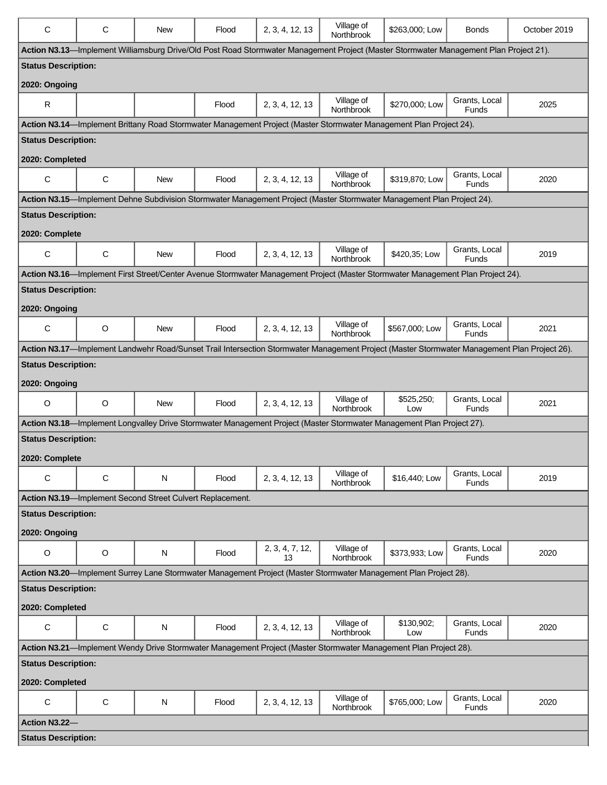| Action N3.13-Implement Williamsburg Drive/Old Post Road Stormwater Management Project (Master Stormwater Management Plan Project 21).<br><b>Status Description:</b><br>2020: Ongoing<br>Grants, Local<br>Village of<br>$\mathsf{R}$<br>\$270,000; Low<br>2, 3, 4, 12, 13<br>2025<br>Flood<br><b>Northbrook</b><br>Funds<br>Action N3.14—Implement Brittany Road Stormwater Management Project (Master Stormwater Management Plan Project 24).<br><b>Status Description:</b><br>2020: Completed<br>Village of<br>Grants, Local<br>$\mathbf C$<br>С<br>\$319,870; Low<br>2, 3, 4, 12, 13<br>2020<br><b>New</b><br>Flood<br>Northbrook<br>Funds<br>Action N3.15-Implement Dehne Subdivision Stormwater Management Project (Master Stormwater Management Plan Project 24).<br><b>Status Description:</b><br>2020: Complete<br>Grants, Local<br>Village of<br>C<br>$\mathbf C$<br>\$420,35; Low<br>2, 3, 4, 12, 13<br>2019<br><b>New</b><br>Flood<br>Northbrook<br>Funds<br>Action N3.16-Implement First Street/Center Avenue Stormwater Management Project (Master Stormwater Management Plan Project 24).<br><b>Status Description:</b><br>2020: Ongoing<br>Village of<br>Grants, Local<br>C<br>$\circ$<br>\$567,000; Low<br>2021<br><b>New</b><br>Flood<br>2, 3, 4, 12, 13<br>Northbrook<br><b>Funds</b><br>Action N3.17-Implement Landwehr Road/Sunset Trail Intersection Stormwater Management Project (Master Stormwater Management Plan Project 26).<br><b>Status Description:</b><br>2020: Ongoing<br>Village of<br>Grants, Local<br>\$525,250;<br>$\circ$<br>$\circ$<br><b>New</b><br>2, 3, 4, 12, 13<br>2021<br>Flood<br>Northbrook<br><b>Funds</b><br>Low<br>Action N3.18—Implement Longvalley Drive Stormwater Management Project (Master Stormwater Management Plan Project 27).<br><b>Status Description:</b><br>2020: Complete<br>Village of<br>Grants, Local<br>C<br>C<br>N<br>2, 3, 4, 12, 13<br>\$16,440; Low<br>2019<br>Flood<br>Northbrook<br>Funds<br>Action N3.19-Implement Second Street Culvert Replacement.<br><b>Status Description:</b><br>2020: Ongoing<br>2, 3, 4, 7, 12,<br>Grants, Local<br>Village of<br>$\mathsf O$<br>$\circ$<br>${\sf N}$<br>\$373,933; Low<br>Flood<br>2020<br>Northbrook<br><b>Funds</b><br>13<br>Action N3.20-Implement Surrey Lane Stormwater Management Project (Master Stormwater Management Plan Project 28).<br><b>Status Description:</b><br>2020: Completed<br>Grants, Local<br>Village of<br>\$130,902;<br>$\mathbf C$<br>$\mathbf C$<br>${\sf N}$<br>Flood<br>2, 3, 4, 12, 13<br>2020<br>Northbrook<br><b>Funds</b><br>Low<br>Action N3.21-Implement Wendy Drive Stormwater Management Project (Master Stormwater Management Plan Project 28).<br><b>Status Description:</b><br>2020: Completed<br>Village of<br>Grants, Local<br>С<br>C<br>\$765,000; Low<br>N<br>2, 3, 4, 12, 13<br>2020<br>Flood<br>Northbrook<br>Funds<br>Action N3.22-<br><b>Status Description:</b> | C | C | <b>New</b> | Flood | 2, 3, 4, 12, 13 | Village of<br><b>Northbrook</b> | \$263,000; Low | <b>Bonds</b> | October 2019 |
|-------------------------------------------------------------------------------------------------------------------------------------------------------------------------------------------------------------------------------------------------------------------------------------------------------------------------------------------------------------------------------------------------------------------------------------------------------------------------------------------------------------------------------------------------------------------------------------------------------------------------------------------------------------------------------------------------------------------------------------------------------------------------------------------------------------------------------------------------------------------------------------------------------------------------------------------------------------------------------------------------------------------------------------------------------------------------------------------------------------------------------------------------------------------------------------------------------------------------------------------------------------------------------------------------------------------------------------------------------------------------------------------------------------------------------------------------------------------------------------------------------------------------------------------------------------------------------------------------------------------------------------------------------------------------------------------------------------------------------------------------------------------------------------------------------------------------------------------------------------------------------------------------------------------------------------------------------------------------------------------------------------------------------------------------------------------------------------------------------------------------------------------------------------------------------------------------------------------------------------------------------------------------------------------------------------------------------------------------------------------------------------------------------------------------------------------------------------------------------------------------------------------------------------------------------------------------------------------------------------------------------------------------------------------------------------------------------------------------------------------------------------------------------------------------------------------------------------------------------------------------------------------------------------------------------------|---|---|------------|-------|-----------------|---------------------------------|----------------|--------------|--------------|
|                                                                                                                                                                                                                                                                                                                                                                                                                                                                                                                                                                                                                                                                                                                                                                                                                                                                                                                                                                                                                                                                                                                                                                                                                                                                                                                                                                                                                                                                                                                                                                                                                                                                                                                                                                                                                                                                                                                                                                                                                                                                                                                                                                                                                                                                                                                                                                                                                                                                                                                                                                                                                                                                                                                                                                                                                                                                                                                                     |   |   |            |       |                 |                                 |                |              |              |
|                                                                                                                                                                                                                                                                                                                                                                                                                                                                                                                                                                                                                                                                                                                                                                                                                                                                                                                                                                                                                                                                                                                                                                                                                                                                                                                                                                                                                                                                                                                                                                                                                                                                                                                                                                                                                                                                                                                                                                                                                                                                                                                                                                                                                                                                                                                                                                                                                                                                                                                                                                                                                                                                                                                                                                                                                                                                                                                                     |   |   |            |       |                 |                                 |                |              |              |
|                                                                                                                                                                                                                                                                                                                                                                                                                                                                                                                                                                                                                                                                                                                                                                                                                                                                                                                                                                                                                                                                                                                                                                                                                                                                                                                                                                                                                                                                                                                                                                                                                                                                                                                                                                                                                                                                                                                                                                                                                                                                                                                                                                                                                                                                                                                                                                                                                                                                                                                                                                                                                                                                                                                                                                                                                                                                                                                                     |   |   |            |       |                 |                                 |                |              |              |
|                                                                                                                                                                                                                                                                                                                                                                                                                                                                                                                                                                                                                                                                                                                                                                                                                                                                                                                                                                                                                                                                                                                                                                                                                                                                                                                                                                                                                                                                                                                                                                                                                                                                                                                                                                                                                                                                                                                                                                                                                                                                                                                                                                                                                                                                                                                                                                                                                                                                                                                                                                                                                                                                                                                                                                                                                                                                                                                                     |   |   |            |       |                 |                                 |                |              |              |
|                                                                                                                                                                                                                                                                                                                                                                                                                                                                                                                                                                                                                                                                                                                                                                                                                                                                                                                                                                                                                                                                                                                                                                                                                                                                                                                                                                                                                                                                                                                                                                                                                                                                                                                                                                                                                                                                                                                                                                                                                                                                                                                                                                                                                                                                                                                                                                                                                                                                                                                                                                                                                                                                                                                                                                                                                                                                                                                                     |   |   |            |       |                 |                                 |                |              |              |
|                                                                                                                                                                                                                                                                                                                                                                                                                                                                                                                                                                                                                                                                                                                                                                                                                                                                                                                                                                                                                                                                                                                                                                                                                                                                                                                                                                                                                                                                                                                                                                                                                                                                                                                                                                                                                                                                                                                                                                                                                                                                                                                                                                                                                                                                                                                                                                                                                                                                                                                                                                                                                                                                                                                                                                                                                                                                                                                                     |   |   |            |       |                 |                                 |                |              |              |
|                                                                                                                                                                                                                                                                                                                                                                                                                                                                                                                                                                                                                                                                                                                                                                                                                                                                                                                                                                                                                                                                                                                                                                                                                                                                                                                                                                                                                                                                                                                                                                                                                                                                                                                                                                                                                                                                                                                                                                                                                                                                                                                                                                                                                                                                                                                                                                                                                                                                                                                                                                                                                                                                                                                                                                                                                                                                                                                                     |   |   |            |       |                 |                                 |                |              |              |
|                                                                                                                                                                                                                                                                                                                                                                                                                                                                                                                                                                                                                                                                                                                                                                                                                                                                                                                                                                                                                                                                                                                                                                                                                                                                                                                                                                                                                                                                                                                                                                                                                                                                                                                                                                                                                                                                                                                                                                                                                                                                                                                                                                                                                                                                                                                                                                                                                                                                                                                                                                                                                                                                                                                                                                                                                                                                                                                                     |   |   |            |       |                 |                                 |                |              |              |
|                                                                                                                                                                                                                                                                                                                                                                                                                                                                                                                                                                                                                                                                                                                                                                                                                                                                                                                                                                                                                                                                                                                                                                                                                                                                                                                                                                                                                                                                                                                                                                                                                                                                                                                                                                                                                                                                                                                                                                                                                                                                                                                                                                                                                                                                                                                                                                                                                                                                                                                                                                                                                                                                                                                                                                                                                                                                                                                                     |   |   |            |       |                 |                                 |                |              |              |
|                                                                                                                                                                                                                                                                                                                                                                                                                                                                                                                                                                                                                                                                                                                                                                                                                                                                                                                                                                                                                                                                                                                                                                                                                                                                                                                                                                                                                                                                                                                                                                                                                                                                                                                                                                                                                                                                                                                                                                                                                                                                                                                                                                                                                                                                                                                                                                                                                                                                                                                                                                                                                                                                                                                                                                                                                                                                                                                                     |   |   |            |       |                 |                                 |                |              |              |
|                                                                                                                                                                                                                                                                                                                                                                                                                                                                                                                                                                                                                                                                                                                                                                                                                                                                                                                                                                                                                                                                                                                                                                                                                                                                                                                                                                                                                                                                                                                                                                                                                                                                                                                                                                                                                                                                                                                                                                                                                                                                                                                                                                                                                                                                                                                                                                                                                                                                                                                                                                                                                                                                                                                                                                                                                                                                                                                                     |   |   |            |       |                 |                                 |                |              |              |
|                                                                                                                                                                                                                                                                                                                                                                                                                                                                                                                                                                                                                                                                                                                                                                                                                                                                                                                                                                                                                                                                                                                                                                                                                                                                                                                                                                                                                                                                                                                                                                                                                                                                                                                                                                                                                                                                                                                                                                                                                                                                                                                                                                                                                                                                                                                                                                                                                                                                                                                                                                                                                                                                                                                                                                                                                                                                                                                                     |   |   |            |       |                 |                                 |                |              |              |
|                                                                                                                                                                                                                                                                                                                                                                                                                                                                                                                                                                                                                                                                                                                                                                                                                                                                                                                                                                                                                                                                                                                                                                                                                                                                                                                                                                                                                                                                                                                                                                                                                                                                                                                                                                                                                                                                                                                                                                                                                                                                                                                                                                                                                                                                                                                                                                                                                                                                                                                                                                                                                                                                                                                                                                                                                                                                                                                                     |   |   |            |       |                 |                                 |                |              |              |
|                                                                                                                                                                                                                                                                                                                                                                                                                                                                                                                                                                                                                                                                                                                                                                                                                                                                                                                                                                                                                                                                                                                                                                                                                                                                                                                                                                                                                                                                                                                                                                                                                                                                                                                                                                                                                                                                                                                                                                                                                                                                                                                                                                                                                                                                                                                                                                                                                                                                                                                                                                                                                                                                                                                                                                                                                                                                                                                                     |   |   |            |       |                 |                                 |                |              |              |
|                                                                                                                                                                                                                                                                                                                                                                                                                                                                                                                                                                                                                                                                                                                                                                                                                                                                                                                                                                                                                                                                                                                                                                                                                                                                                                                                                                                                                                                                                                                                                                                                                                                                                                                                                                                                                                                                                                                                                                                                                                                                                                                                                                                                                                                                                                                                                                                                                                                                                                                                                                                                                                                                                                                                                                                                                                                                                                                                     |   |   |            |       |                 |                                 |                |              |              |
|                                                                                                                                                                                                                                                                                                                                                                                                                                                                                                                                                                                                                                                                                                                                                                                                                                                                                                                                                                                                                                                                                                                                                                                                                                                                                                                                                                                                                                                                                                                                                                                                                                                                                                                                                                                                                                                                                                                                                                                                                                                                                                                                                                                                                                                                                                                                                                                                                                                                                                                                                                                                                                                                                                                                                                                                                                                                                                                                     |   |   |            |       |                 |                                 |                |              |              |
|                                                                                                                                                                                                                                                                                                                                                                                                                                                                                                                                                                                                                                                                                                                                                                                                                                                                                                                                                                                                                                                                                                                                                                                                                                                                                                                                                                                                                                                                                                                                                                                                                                                                                                                                                                                                                                                                                                                                                                                                                                                                                                                                                                                                                                                                                                                                                                                                                                                                                                                                                                                                                                                                                                                                                                                                                                                                                                                                     |   |   |            |       |                 |                                 |                |              |              |
|                                                                                                                                                                                                                                                                                                                                                                                                                                                                                                                                                                                                                                                                                                                                                                                                                                                                                                                                                                                                                                                                                                                                                                                                                                                                                                                                                                                                                                                                                                                                                                                                                                                                                                                                                                                                                                                                                                                                                                                                                                                                                                                                                                                                                                                                                                                                                                                                                                                                                                                                                                                                                                                                                                                                                                                                                                                                                                                                     |   |   |            |       |                 |                                 |                |              |              |
|                                                                                                                                                                                                                                                                                                                                                                                                                                                                                                                                                                                                                                                                                                                                                                                                                                                                                                                                                                                                                                                                                                                                                                                                                                                                                                                                                                                                                                                                                                                                                                                                                                                                                                                                                                                                                                                                                                                                                                                                                                                                                                                                                                                                                                                                                                                                                                                                                                                                                                                                                                                                                                                                                                                                                                                                                                                                                                                                     |   |   |            |       |                 |                                 |                |              |              |
|                                                                                                                                                                                                                                                                                                                                                                                                                                                                                                                                                                                                                                                                                                                                                                                                                                                                                                                                                                                                                                                                                                                                                                                                                                                                                                                                                                                                                                                                                                                                                                                                                                                                                                                                                                                                                                                                                                                                                                                                                                                                                                                                                                                                                                                                                                                                                                                                                                                                                                                                                                                                                                                                                                                                                                                                                                                                                                                                     |   |   |            |       |                 |                                 |                |              |              |
|                                                                                                                                                                                                                                                                                                                                                                                                                                                                                                                                                                                                                                                                                                                                                                                                                                                                                                                                                                                                                                                                                                                                                                                                                                                                                                                                                                                                                                                                                                                                                                                                                                                                                                                                                                                                                                                                                                                                                                                                                                                                                                                                                                                                                                                                                                                                                                                                                                                                                                                                                                                                                                                                                                                                                                                                                                                                                                                                     |   |   |            |       |                 |                                 |                |              |              |
|                                                                                                                                                                                                                                                                                                                                                                                                                                                                                                                                                                                                                                                                                                                                                                                                                                                                                                                                                                                                                                                                                                                                                                                                                                                                                                                                                                                                                                                                                                                                                                                                                                                                                                                                                                                                                                                                                                                                                                                                                                                                                                                                                                                                                                                                                                                                                                                                                                                                                                                                                                                                                                                                                                                                                                                                                                                                                                                                     |   |   |            |       |                 |                                 |                |              |              |
|                                                                                                                                                                                                                                                                                                                                                                                                                                                                                                                                                                                                                                                                                                                                                                                                                                                                                                                                                                                                                                                                                                                                                                                                                                                                                                                                                                                                                                                                                                                                                                                                                                                                                                                                                                                                                                                                                                                                                                                                                                                                                                                                                                                                                                                                                                                                                                                                                                                                                                                                                                                                                                                                                                                                                                                                                                                                                                                                     |   |   |            |       |                 |                                 |                |              |              |
|                                                                                                                                                                                                                                                                                                                                                                                                                                                                                                                                                                                                                                                                                                                                                                                                                                                                                                                                                                                                                                                                                                                                                                                                                                                                                                                                                                                                                                                                                                                                                                                                                                                                                                                                                                                                                                                                                                                                                                                                                                                                                                                                                                                                                                                                                                                                                                                                                                                                                                                                                                                                                                                                                                                                                                                                                                                                                                                                     |   |   |            |       |                 |                                 |                |              |              |
|                                                                                                                                                                                                                                                                                                                                                                                                                                                                                                                                                                                                                                                                                                                                                                                                                                                                                                                                                                                                                                                                                                                                                                                                                                                                                                                                                                                                                                                                                                                                                                                                                                                                                                                                                                                                                                                                                                                                                                                                                                                                                                                                                                                                                                                                                                                                                                                                                                                                                                                                                                                                                                                                                                                                                                                                                                                                                                                                     |   |   |            |       |                 |                                 |                |              |              |
|                                                                                                                                                                                                                                                                                                                                                                                                                                                                                                                                                                                                                                                                                                                                                                                                                                                                                                                                                                                                                                                                                                                                                                                                                                                                                                                                                                                                                                                                                                                                                                                                                                                                                                                                                                                                                                                                                                                                                                                                                                                                                                                                                                                                                                                                                                                                                                                                                                                                                                                                                                                                                                                                                                                                                                                                                                                                                                                                     |   |   |            |       |                 |                                 |                |              |              |
|                                                                                                                                                                                                                                                                                                                                                                                                                                                                                                                                                                                                                                                                                                                                                                                                                                                                                                                                                                                                                                                                                                                                                                                                                                                                                                                                                                                                                                                                                                                                                                                                                                                                                                                                                                                                                                                                                                                                                                                                                                                                                                                                                                                                                                                                                                                                                                                                                                                                                                                                                                                                                                                                                                                                                                                                                                                                                                                                     |   |   |            |       |                 |                                 |                |              |              |
|                                                                                                                                                                                                                                                                                                                                                                                                                                                                                                                                                                                                                                                                                                                                                                                                                                                                                                                                                                                                                                                                                                                                                                                                                                                                                                                                                                                                                                                                                                                                                                                                                                                                                                                                                                                                                                                                                                                                                                                                                                                                                                                                                                                                                                                                                                                                                                                                                                                                                                                                                                                                                                                                                                                                                                                                                                                                                                                                     |   |   |            |       |                 |                                 |                |              |              |
|                                                                                                                                                                                                                                                                                                                                                                                                                                                                                                                                                                                                                                                                                                                                                                                                                                                                                                                                                                                                                                                                                                                                                                                                                                                                                                                                                                                                                                                                                                                                                                                                                                                                                                                                                                                                                                                                                                                                                                                                                                                                                                                                                                                                                                                                                                                                                                                                                                                                                                                                                                                                                                                                                                                                                                                                                                                                                                                                     |   |   |            |       |                 |                                 |                |              |              |
|                                                                                                                                                                                                                                                                                                                                                                                                                                                                                                                                                                                                                                                                                                                                                                                                                                                                                                                                                                                                                                                                                                                                                                                                                                                                                                                                                                                                                                                                                                                                                                                                                                                                                                                                                                                                                                                                                                                                                                                                                                                                                                                                                                                                                                                                                                                                                                                                                                                                                                                                                                                                                                                                                                                                                                                                                                                                                                                                     |   |   |            |       |                 |                                 |                |              |              |
|                                                                                                                                                                                                                                                                                                                                                                                                                                                                                                                                                                                                                                                                                                                                                                                                                                                                                                                                                                                                                                                                                                                                                                                                                                                                                                                                                                                                                                                                                                                                                                                                                                                                                                                                                                                                                                                                                                                                                                                                                                                                                                                                                                                                                                                                                                                                                                                                                                                                                                                                                                                                                                                                                                                                                                                                                                                                                                                                     |   |   |            |       |                 |                                 |                |              |              |
|                                                                                                                                                                                                                                                                                                                                                                                                                                                                                                                                                                                                                                                                                                                                                                                                                                                                                                                                                                                                                                                                                                                                                                                                                                                                                                                                                                                                                                                                                                                                                                                                                                                                                                                                                                                                                                                                                                                                                                                                                                                                                                                                                                                                                                                                                                                                                                                                                                                                                                                                                                                                                                                                                                                                                                                                                                                                                                                                     |   |   |            |       |                 |                                 |                |              |              |
|                                                                                                                                                                                                                                                                                                                                                                                                                                                                                                                                                                                                                                                                                                                                                                                                                                                                                                                                                                                                                                                                                                                                                                                                                                                                                                                                                                                                                                                                                                                                                                                                                                                                                                                                                                                                                                                                                                                                                                                                                                                                                                                                                                                                                                                                                                                                                                                                                                                                                                                                                                                                                                                                                                                                                                                                                                                                                                                                     |   |   |            |       |                 |                                 |                |              |              |
|                                                                                                                                                                                                                                                                                                                                                                                                                                                                                                                                                                                                                                                                                                                                                                                                                                                                                                                                                                                                                                                                                                                                                                                                                                                                                                                                                                                                                                                                                                                                                                                                                                                                                                                                                                                                                                                                                                                                                                                                                                                                                                                                                                                                                                                                                                                                                                                                                                                                                                                                                                                                                                                                                                                                                                                                                                                                                                                                     |   |   |            |       |                 |                                 |                |              |              |
|                                                                                                                                                                                                                                                                                                                                                                                                                                                                                                                                                                                                                                                                                                                                                                                                                                                                                                                                                                                                                                                                                                                                                                                                                                                                                                                                                                                                                                                                                                                                                                                                                                                                                                                                                                                                                                                                                                                                                                                                                                                                                                                                                                                                                                                                                                                                                                                                                                                                                                                                                                                                                                                                                                                                                                                                                                                                                                                                     |   |   |            |       |                 |                                 |                |              |              |
|                                                                                                                                                                                                                                                                                                                                                                                                                                                                                                                                                                                                                                                                                                                                                                                                                                                                                                                                                                                                                                                                                                                                                                                                                                                                                                                                                                                                                                                                                                                                                                                                                                                                                                                                                                                                                                                                                                                                                                                                                                                                                                                                                                                                                                                                                                                                                                                                                                                                                                                                                                                                                                                                                                                                                                                                                                                                                                                                     |   |   |            |       |                 |                                 |                |              |              |
|                                                                                                                                                                                                                                                                                                                                                                                                                                                                                                                                                                                                                                                                                                                                                                                                                                                                                                                                                                                                                                                                                                                                                                                                                                                                                                                                                                                                                                                                                                                                                                                                                                                                                                                                                                                                                                                                                                                                                                                                                                                                                                                                                                                                                                                                                                                                                                                                                                                                                                                                                                                                                                                                                                                                                                                                                                                                                                                                     |   |   |            |       |                 |                                 |                |              |              |
|                                                                                                                                                                                                                                                                                                                                                                                                                                                                                                                                                                                                                                                                                                                                                                                                                                                                                                                                                                                                                                                                                                                                                                                                                                                                                                                                                                                                                                                                                                                                                                                                                                                                                                                                                                                                                                                                                                                                                                                                                                                                                                                                                                                                                                                                                                                                                                                                                                                                                                                                                                                                                                                                                                                                                                                                                                                                                                                                     |   |   |            |       |                 |                                 |                |              |              |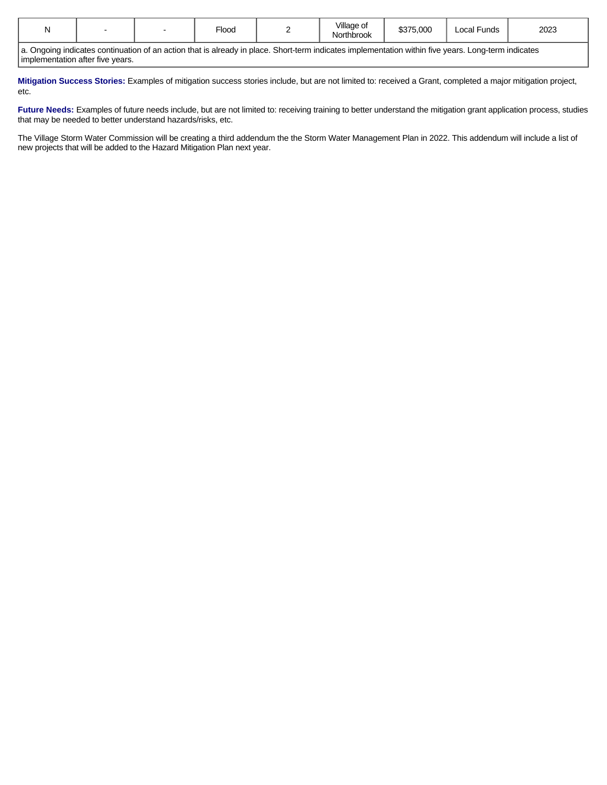| вı |  | $\overline{\phantom{0}}$<br>Floog | $\cdots$<br>Villade of<br>Northbrook | \$375,000 | Local<br>Funds | 2023 |
|----|--|-----------------------------------|--------------------------------------|-----------|----------------|------|
|    |  |                                   |                                      |           |                |      |

a. Ongoing indicates continuation of an action that is already in place. Short-term indicates implementation within five years. Long-term indicates implementation after five years.

**Mitigation Success Stories:** Examples of mitigation success stories include, but are not limited to: received a Grant, completed a major mitigation project, etc.

Future Needs: Examples of future needs include, but are not limited to: receiving training to better understand the mitigation grant application process, studies that may be needed to better understand hazards/risks, etc.

The Village Storm Water Commission will be creating a third addendum the the Storm Water Management Plan in 2022. This addendum will include a list of new projects that will be added to the Hazard Mitigation Plan next year.